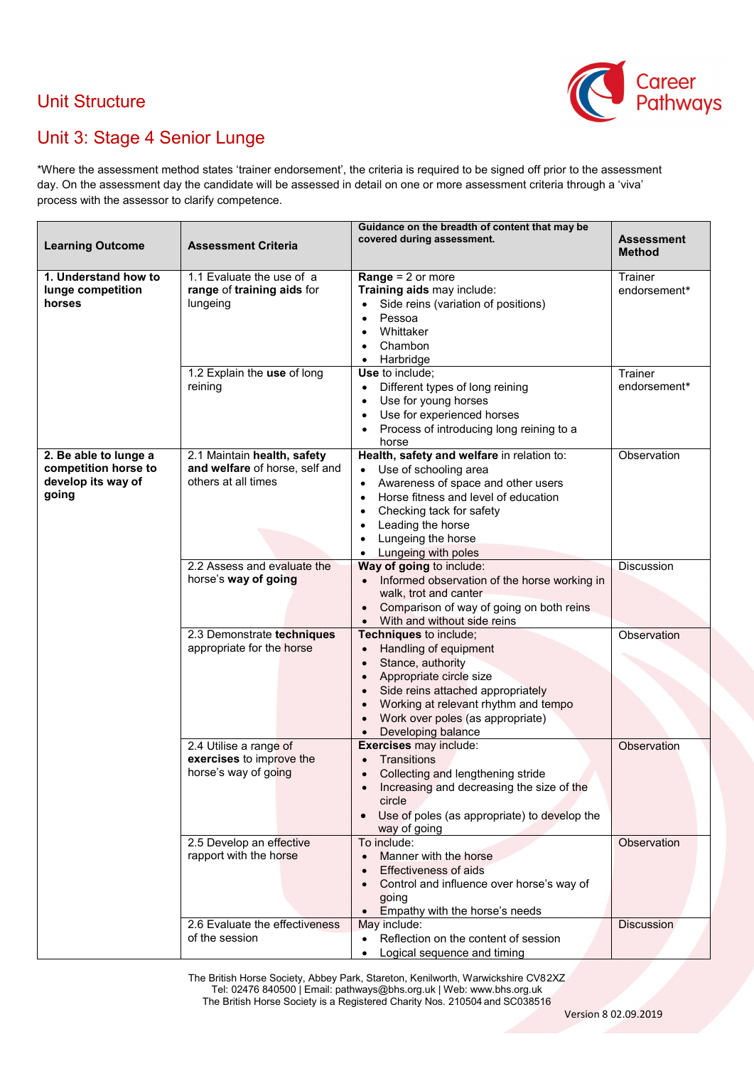## Unit Structure



## Unit 3: Stage 4 Senior Lunge

\*Where the assessment method states 'trainer endorsement', the criteria is required to be signed off prior to the assessment day. On the assessment day the candidate will be assessed in detail on one or more assessment criteria through a 'viva' process with the assessor to clarify competence.

| <b>Learning Outcome</b>                                                      | <b>Assessment Criteria</b>                                                           | Guidance on the breadth of content that may be<br>covered during assessment.                                                                                                                                                                                                                                                  | <b>Assessment</b>       |
|------------------------------------------------------------------------------|--------------------------------------------------------------------------------------|-------------------------------------------------------------------------------------------------------------------------------------------------------------------------------------------------------------------------------------------------------------------------------------------------------------------------------|-------------------------|
|                                                                              |                                                                                      |                                                                                                                                                                                                                                                                                                                               | <b>Method</b>           |
| 1. Understand how to<br>lunge competition<br>horses                          | 1.1 Evaluate the use of a<br>range of training aids for<br>lungeing                  | <b>Range = 2 or more</b><br>Training aids may include:<br>Side reins (variation of positions)<br>Pessoa<br>Whittaker<br>$\bullet$<br>Chambon<br>Harbridge<br>$\bullet$                                                                                                                                                        | Trainer<br>endorsement* |
|                                                                              | 1.2 Explain the use of long<br>reining                                               | Use to include;<br>Different types of long reining<br>$\bullet$<br>Use for young horses<br>$\bullet$<br>Use for experienced horses<br>$\bullet$<br>Process of introducing long reining to a<br>$\bullet$<br>horse                                                                                                             | Trainer<br>endorsement* |
| 2. Be able to lunge a<br>competition horse to<br>develop its way of<br>going | 2.1 Maintain health, safety<br>and welfare of horse, self and<br>others at all times | Health, safety and welfare in relation to:<br>Use of schooling area<br>$\bullet$<br>Awareness of space and other users<br>$\bullet$<br>Horse fitness and level of education<br>$\bullet$<br>Checking tack for safety<br>$\bullet$<br>Leading the horse<br>$\bullet$<br>Lungeing the horse<br>Lungeing with poles<br>$\bullet$ | Observation             |
|                                                                              | 2.2 Assess and evaluate the<br>horse's way of going                                  | Way of going to include:<br>• Informed observation of the horse working in<br>walk, trot and canter<br>Comparison of way of going on both reins<br>$\bullet$<br>With and without side reins<br>$\bullet$                                                                                                                      | <b>Discussion</b>       |
|                                                                              | 2.3 Demonstrate techniques<br>appropriate for the horse                              | Techniques to include;<br>Handling of equipment<br>$\bullet$<br>Stance, authority<br>$\bullet$<br>Appropriate circle size<br>$\bullet$<br>Side reins attached appropriately<br>Working at relevant rhythm and tempo<br>$\bullet$<br>Work over poles (as appropriate)<br>$\bullet$<br>Developing balance<br>$\bullet$          | Observation             |
|                                                                              | 2.4 Utilise a range of<br>exercises to improve the<br>horse's way of going           | Exercises may include:<br>Transitions<br>Collecting and lengthening stride<br>Increasing and decreasing the size of the<br>circle<br>Use of poles (as appropriate) to develop the<br>$\bullet$<br>way of going                                                                                                                | Observation             |
|                                                                              | 2.5 Develop an effective<br>rapport with the horse                                   | To include:<br>Manner with the horse<br><b>Effectiveness of aids</b><br>Control and influence over horse's way of<br>going<br>Empathy with the horse's needs                                                                                                                                                                  | Observation             |
|                                                                              | 2.6 Evaluate the effectiveness<br>of the session                                     | May include:<br>Reflection on the content of session<br>$\bullet$<br>Logical sequence and timing<br>$\bullet$                                                                                                                                                                                                                 | <b>Discussion</b>       |

The British Horse Society, Abbey Park, Stareton, Kenilworth, Warwickshire CV82XZ Tel: 02476 840500 | Email: pathways@bhs.org.uk | Web[: www.bhs.org.uk](http://www.bhs.org.uk/) The British Horse Society is a Registered Charity Nos. 210504 and SC038516